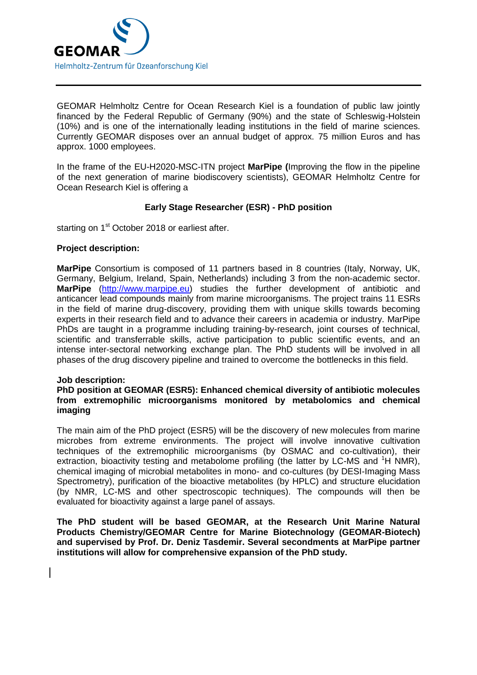

GEOMAR Helmholtz Centre for Ocean Research Kiel is a foundation of public law jointly financed by the Federal Republic of Germany (90%) and the state of Schleswig-Holstein (10%) and is one of the internationally leading institutions in the field of marine sciences. Currently GEOMAR disposes over an annual budget of approx. 75 million Euros and has approx. 1000 employees.

In the frame of the EU-H2020-MSC-ITN project **MarPipe (**Improving the flow in the pipeline of the next generation of marine biodiscovery scientists), GEOMAR Helmholtz Centre for Ocean Research Kiel is offering a

# **Early Stage Researcher (ESR) - PhD position**

starting on 1<sup>st</sup> October 2018 or earliest after.

### **Project description:**

**MarPipe** Consortium is composed of 11 partners based in 8 countries (Italy, Norway, UK, Germany, Belgium, Ireland, Spain, Netherlands) including 3 from the non-academic sector. **MarPipe** [\(http://www.marpipe.eu\)](http://www.marpipe.eu/) studies the further development of antibiotic and anticancer lead compounds mainly from marine microorganisms. The project trains 11 ESRs in the field of marine drug-discovery, providing them with unique skills towards becoming experts in their research field and to advance their careers in academia or industry. MarPipe PhDs are taught in a programme including training-by-research, joint courses of technical, scientific and transferrable skills, active participation to public scientific events, and an intense inter-sectoral networking exchange plan. The PhD students will be involved in all phases of the drug discovery pipeline and trained to overcome the bottlenecks in this field.

#### **Job description:**

### **PhD position at GEOMAR (ESR5): Enhanced chemical diversity of antibiotic molecules from extremophilic microorganisms monitored by metabolomics and chemical imaging**

The main aim of the PhD project (ESR5) will be the discovery of new molecules from marine microbes from extreme environments. The project will involve innovative cultivation techniques of the extremophilic microorganisms (by OSMAC and co-cultivation), their extraction, bioactivity testing and metabolome profiling (the latter by LC-MS and  $^1$ H NMR). chemical imaging of microbial metabolites in mono- and co-cultures (by DESI-Imaging Mass Spectrometry), purification of the bioactive metabolites (by HPLC) and structure elucidation (by NMR, LC-MS and other spectroscopic techniques). The compounds will then be evaluated for bioactivity against a large panel of assays.

**The PhD student will be based GEOMAR, at the Research Unit Marine Natural Products Chemistry/GEOMAR Centre for Marine Biotechnology (GEOMAR-Biotech) and supervised by Prof. Dr. Deniz Tasdemir. Several secondments at MarPipe partner institutions will allow for comprehensive expansion of the PhD study.**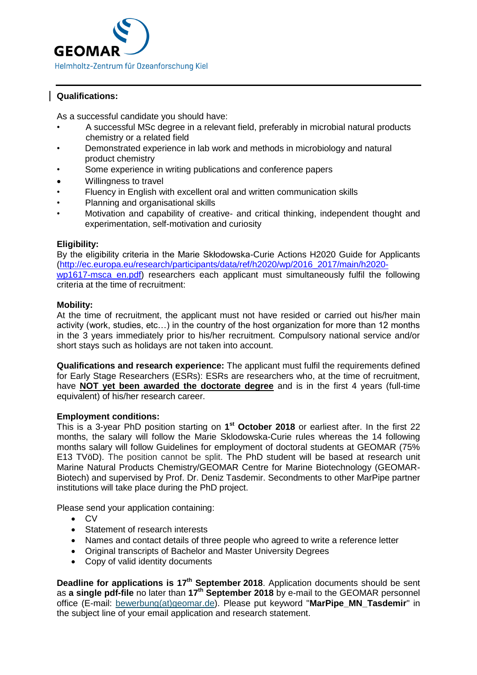

# **Qualifications:**

As a successful candidate you should have:

- A successful MSc degree in a relevant field, preferably in microbial natural products chemistry or a related field
- Demonstrated experience in lab work and methods in microbiology and natural product chemistry
- Some experience in writing publications and conference papers
- Willingness to travel
- Fluency in English with excellent oral and written communication skills
- Planning and organisational skills
- Motivation and capability of creative- and critical thinking, independent thought and experimentation, self-motivation and curiosity

# **Eligibility:**

By the eligibility criteria in the Marie Skłodowska-Curie Actions H2020 Guide for Applicants [\(http://ec.europa.eu/research/participants/data/ref/h2020/wp/2016\\_2017/main/h2020](http://ec.europa.eu/research/participants/data/ref/h2020/wp/2016_2017/main/h2020-wp1617-msca_en.pdf) [wp1617-msca\\_en.pdf\)](http://ec.europa.eu/research/participants/data/ref/h2020/wp/2016_2017/main/h2020-wp1617-msca_en.pdf) researchers each applicant must simultaneously fulfil the following criteria at the time of recruitment:

# **Mobility:**

At the time of recruitment, the applicant must not have resided or carried out his/her main activity (work, studies, etc…) in the country of the host organization for more than 12 months in the 3 years immediately prior to his/her recruitment. Compulsory national service and/or short stays such as holidays are not taken into account.

**Qualifications and research experience:** The applicant must fulfil the requirements defined for Early Stage Researchers (ESRs): ESRs are researchers who, at the time of recruitment, have **NOT yet been awarded the doctorate degree** and is in the first 4 years (full-time equivalent) of his/her research career.

# **Employment conditions:**

This is a 3-year PhD position starting on **1 st October 2018** or earliest after. In the first 22 months, the salary will follow the Marie Sklodowska-Curie rules whereas the 14 following months salary will follow Guidelines for employment of doctoral students at GEOMAR (75% E13 TVöD). The position cannot be split. The PhD student will be based at research unit Marine Natural Products Chemistry/GEOMAR Centre for Marine Biotechnology (GEOMAR-Biotech) and supervised by Prof. Dr. Deniz Tasdemir. Secondments to other MarPipe partner institutions will take place during the PhD project.

Please send your application containing:

- CV
- Statement of research interests
- Names and contact details of three people who agreed to write a reference letter
- Original transcripts of Bachelor and Master University Degrees
- Copy of valid identity documents

**Deadline for applications is 17<sup>th</sup> September 2018**. Application documents should be sent as **a single pdf-file** no later than **17 th September 2018** by e-mail to the GEOMAR personnel office (E-mail: [bewerbung\(at\)geomar.de\)](javascript:linkTo_UnCryptMailto(). Please put keyword "**MarPipe\_MN\_Tasdemir**" in the subject line of your email application and research statement.